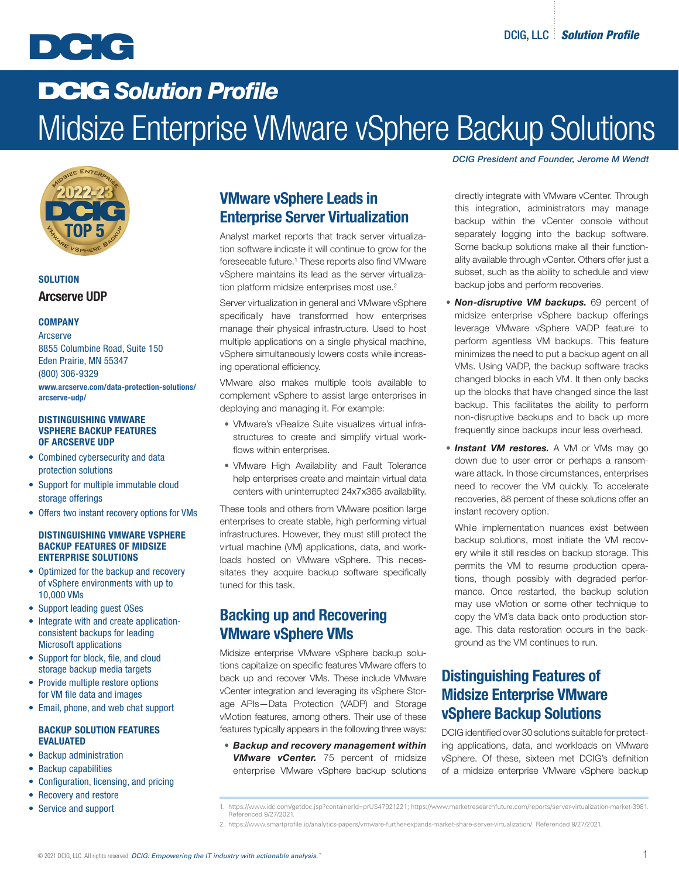

# DCIG *Solution Profile* Midsize Enterprise VMware vSphere Backup Solutions



### **SOLUTION** Arcserve UDP

### **COMPANY**

 Arcserve 8855 Columbine Road, Suite 150 Eden Prairie, MN 55347 (800) 306-9329 [www.arcserve.com/data-protection-solutions/](https://www.arcserve.com/data-protection-solutions/arcserve-udp/)

[arcserve-udp/](https://www.arcserve.com/data-protection-solutions/arcserve-udp/)

#### DISTINGUISHING VMWARE VSPHERE BACKUP FEATURES OF ARCSERVE UDP

- Combined cybersecurity and data protection solutions
- Support for multiple immutable cloud storage offerings
- Offers two instant recovery options for VMs

#### DISTINGUISHING VMWARE VSPHERE BACKUP FEATURES OF MIDSIZE ENTERPRISE SOLUTIONS

- Optimized for the backup and recovery of vSphere environments with up to 10,000 VMs
- Support leading guest OSes
- Integrate with and create applicationconsistent backups for leading Microsoft applications
- Support for block, file, and cloud storage backup media targets
- Provide multiple restore options for VM file data and images
- Email, phone, and web chat support

### BACKUP SOLUTION FEATURES EVALUATED

- Backup administration
- Backup capabilities
- Configuration, licensing, and pricing
- Recovery and restore
- Service and support

## VMware vSphere Leads in Enterprise Server Virtualization

Analyst market reports that track server virtualization software indicate it will continue to grow for the foreseeable future.<sup>1</sup> These reports also find VMware vSphere maintains its lead as the server virtualization platform midsize enterprises most use.<sup>2</sup>

Server virtualization in general and VMware vSphere specifically have transformed how enterprises manage their physical infrastructure. Used to host multiple applications on a single physical machine, vSphere simultaneously lowers costs while increasing operational efficiency.

VMware also makes multiple tools available to complement vSphere to assist large enterprises in deploying and managing it. For example:

- VMware's vRealize Suite visualizes virtual infrastructures to create and simplify virtual workflows within enterprises.
- VMware High Availability and Fault Tolerance help enterprises create and maintain virtual data centers with uninterrupted 24x7x365 availability.

These tools and others from VMware position large enterprises to create stable, high performing virtual infrastructures. However, they must still protect the virtual machine (VM) applications, data, and workloads hosted on VMware vSphere. This necessitates they acquire backup software specifically tuned for this task.

### Backing up and Recovering VMware vSphere VMs

Midsize enterprise VMware vSphere backup solutions capitalize on specific features VMware offers to back up and recover VMs. These include VMware vCenter integration and leveraging its vSphere Storage APIs—Data Protection (VADP) and Storage vMotion features, among others. Their use of these features typically appears in the following three ways:

• *Backup and recovery management within VMware vCenter.* 75 percent of midsize enterprise VMware vSphere backup solutions

#### *DCIG President and Founder, Jerome M Wendt*

directly integrate with VMware vCenter. Through this integration, administrators may manage backup within the vCenter console without separately logging into the backup software. Some backup solutions make all their functionality available through vCenter. Others offer just a subset, such as the ability to schedule and view backup jobs and perform recoveries.

- *Non-disruptive VM backups.* 69 percent of midsize enterprise vSphere backup offerings leverage VMware vSphere VADP feature to perform agentless VM backups. This feature minimizes the need to put a backup agent on all VMs. Using VADP, the backup software tracks changed blocks in each VM. It then only backs up the blocks that have changed since the last backup. This facilitates the ability to perform non-disruptive backups and to back up more frequently since backups incur less overhead.
- *Instant VM restores.* A VM or VMs may go down due to user error or perhaps a ransomware attack. In those circumstances, enterprises need to recover the VM quickly. To accelerate recoveries, 88 percent of these solutions offer an instant recovery option.

While implementation nuances exist between backup solutions, most initiate the VM recovery while it still resides on backup storage. This permits the VM to resume production operations, though possibly with degraded performance. Once restarted, the backup solution may use vMotion or some other technique to copy the VM's data back onto production storage. This data restoration occurs in the background as the VM continues to run.

## Distinguishing Features of Midsize Enterprise VMware vSphere Backup Solutions

DCIG identified over 30 solutions suitable for protecting applications, data, and workloads on VMware vSphere. Of these, sixteen met DCIG's definition of a midsize enterprise VMware vSphere backup

- 1. https://www.idc.com/getdoc.jsp?containerId=prUS47921221; https://www.marketresearchfuture.com/reports/server-virtualization-market-3981. Referenced 9/27/2021.
- 2. https://www.smartprofile.io/analytics-papers/vmware-further-expands-market-share-server-virtualization/. Referenced 9/27/2021.